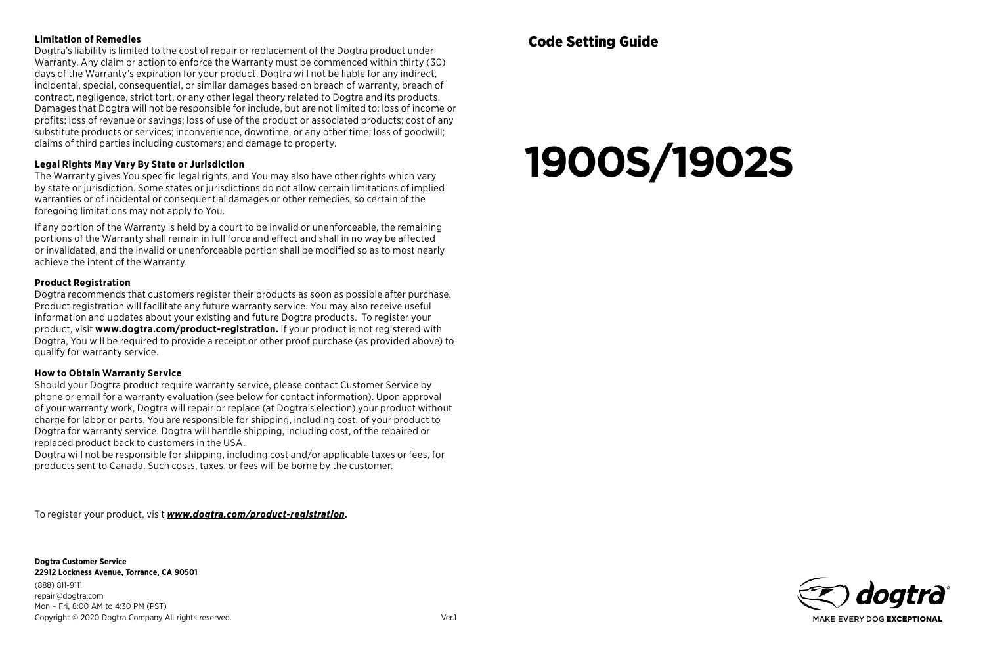#### **Limitation of Remedies**

Dogtra's liability is limited to the cost of repair or replacement of the Dogtra product under Warranty. Any claim or action to enforce the Warranty must be commenced within thirty (30) days of the Warranty's expiration for your product. Dogtra will not be liable for any indirect, incidental, special, consequential, or similar damages based on breach of warranty, breach of contract, negligence, strict tort, or any other legal theory related to Dogtra and its products. Damages that Dogtra will not be responsible for include, but are not limited to: loss of income or profits; loss of revenue or savings; loss of use of the product or associated products; cost of any substitute products or services; inconvenience, downtime, or any other time; loss of goodwill; claims of third parties including customers; and damage to property.

#### **Legal Rights May Vary By State or Jurisdiction**

The Warranty gives You specific legal rights, and You may also have other rights which vary by state or jurisdiction. Some states or jurisdictions do not allow certain limitations of implied warranties or of incidental or consequential damages or other remedies, so certain of the foregoing limitations may not apply to You.

If any portion of the Warranty is held by a court to be invalid or unenforceable, the remaining portions of the Warranty shall remain in full force and effect and shall in no way be affected or invalidated, and the invalid or unenforceable portion shall be modified so as to most nearly achieve the intent of the Warranty.

#### **Product Registration**

Dogtra recommends that customers register their products as soon as possible after purchase. Product registration will facilitate any future warranty service. You may also receive useful information and updates about your existing and future Dogtra products. To register your product, visit **www.dogtra.com/product-registration.** If your product is not registered with Dogtra, You will be required to provide a receipt or other proof purchase (as provided above) to qualify for warranty service.

#### **How to Obtain Warranty Service**

Should your Dogtra product require warranty service, please contact Customer Service by phone or email for a warranty evaluation (see below for contact information). Upon approval of your warranty work, Dogtra will repair or replace (at Dogtra's election) your product without charge for labor or parts. You are responsible for shipping, including cost, of your product to Dogtra for warranty service. Dogtra will handle shipping, including cost, of the repaired or replaced product back to customers in the USA.

Dogtra will not be responsible for shipping, including cost and/or applicable taxes or fees, for products sent to Canada. Such costs, taxes, or fees will be borne by the customer.

To register your product, visit *www.dogtra.com/product-registration.*

**Dogtra Customer Service 22912 Lockness Avenue, Torrance, CA 90501** (888) 811-9111 repair@dogtra.com Mon – Fri, 8:00 AM to 4:30 PM (PST) Copyright © 2020 Dogtra Company All rights reserved. Ver.1

# **1900S/1902S**